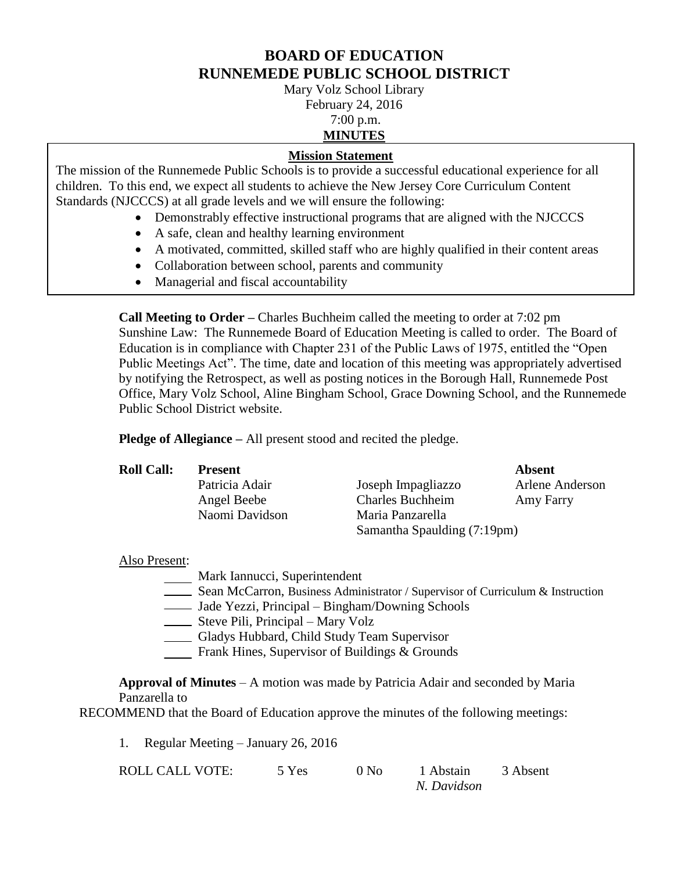# **BOARD OF EDUCATION RUNNEMEDE PUBLIC SCHOOL DISTRICT**

Mary Volz School Library February 24, 2016

# 7:00 p.m.

#### **MINUTES**

# **Mission Statement**

The mission of the Runnemede Public Schools is to provide a successful educational experience for all children. To this end, we expect all students to achieve the New Jersey Core Curriculum Content Standards (NJCCCS) at all grade levels and we will ensure the following:

- Demonstrably effective instructional programs that are aligned with the NJCCCS
- A safe, clean and healthy learning environment
- A motivated, committed, skilled staff who are highly qualified in their content areas
- Collaboration between school, parents and community
- Managerial and fiscal accountability

**Call Meeting to Order –** Charles Buchheim called the meeting to order at 7:02 pm Sunshine Law: The Runnemede Board of Education Meeting is called to order. The Board of Education is in compliance with Chapter 231 of the Public Laws of 1975, entitled the "Open Public Meetings Act". The time, date and location of this meeting was appropriately advertised by notifying the Retrospect, as well as posting notices in the Borough Hall, Runnemede Post Office, Mary Volz School, Aline Bingham School, Grace Downing School, and the Runnemede Public School District website.

**Pledge of Allegiance –** All present stood and recited the pledge.

| <b>Roll Call:</b> | <b>Present</b> |                             | Absent          |
|-------------------|----------------|-----------------------------|-----------------|
|                   | Patricia Adair | Joseph Impagliazzo          | Arlene Anderson |
|                   | Angel Beebe    | <b>Charles Buchheim</b>     | Amy Farry       |
|                   | Naomi Davidson | Maria Panzarella            |                 |
|                   |                | Samantha Spaulding (7:19pm) |                 |

# Also Present:

- Mark Iannucci, Superintendent
- Sean McCarron, Business Administrator / Supervisor of Curriculum & Instruction
- Jade Yezzi, Principal Bingham/Downing Schools
- Steve Pili, Principal Mary Volz
- Gladys Hubbard, Child Study Team Supervisor
- Frank Hines, Supervisor of Buildings & Grounds

**Approval of Minutes** – A motion was made by Patricia Adair and seconded by Maria Panzarella to

RECOMMEND that the Board of Education approve the minutes of the following meetings:

1. Regular Meeting – January 26, 2016

| ROLL CALL VOTE: | 5 Yes | 0 N <sub>0</sub> | 1 Abstain   | 3 Absent |
|-----------------|-------|------------------|-------------|----------|
|                 |       |                  | N. Davidson |          |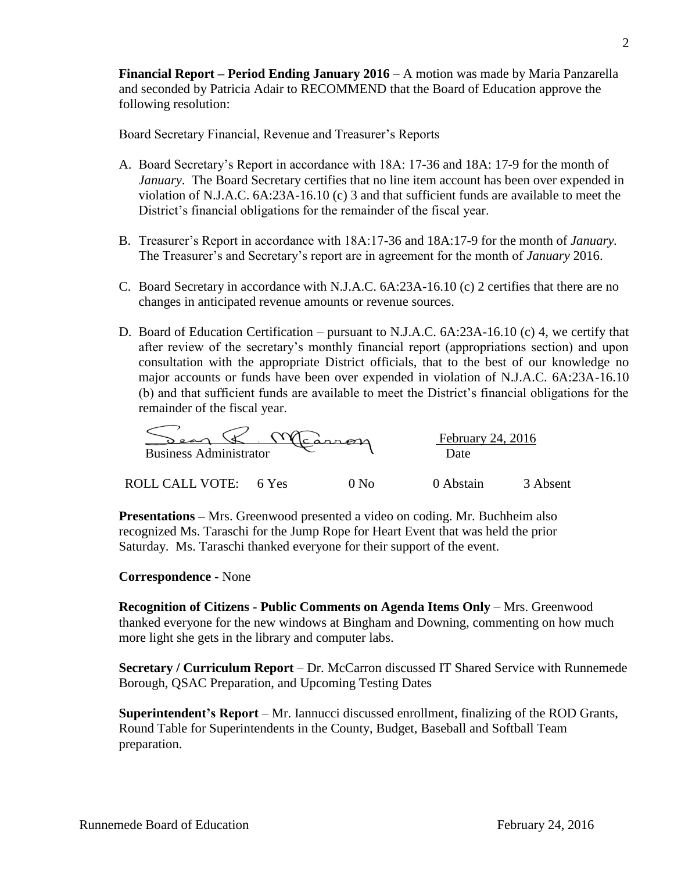**Financial Report – Period Ending January 2016** – A motion was made by Maria Panzarella and seconded by Patricia Adair to RECOMMEND that the Board of Education approve the following resolution:

Board Secretary Financial, Revenue and Treasurer's Reports

- A. Board Secretary's Report in accordance with 18A: 17-36 and 18A: 17-9 for the month of *January*. The Board Secretary certifies that no line item account has been over expended in violation of N.J.A.C. 6A:23A-16.10 (c) 3 and that sufficient funds are available to meet the District's financial obligations for the remainder of the fiscal year.
- B. Treasurer's Report in accordance with 18A:17-36 and 18A:17-9 for the month of *January.* The Treasurer's and Secretary's report are in agreement for the month of *January* 2016.
- C. Board Secretary in accordance with N.J.A.C. 6A:23A-16.10 (c) 2 certifies that there are no changes in anticipated revenue amounts or revenue sources.
- D. Board of Education Certification pursuant to N.J.A.C. 6A:23A-16.10 (c) 4, we certify that after review of the secretary's monthly financial report (appropriations section) and upon consultation with the appropriate District officials, that to the best of our knowledge no major accounts or funds have been over expended in violation of N.J.A.C. 6A:23A-16.10 (b) and that sufficient funds are available to meet the District's financial obligations for the remainder of the fiscal year.

| <b>Business Administrator</b> |       | $Y$ learron | February 24, 2016<br>Date |          |
|-------------------------------|-------|-------------|---------------------------|----------|
| <b>ROLL CALL</b><br>VOTE:     | 6 Yes |             | 0 Abstain                 | 3 Absent |

**Presentations –** Mrs. Greenwood presented a video on coding. Mr. Buchheim also recognized Ms. Taraschi for the Jump Rope for Heart Event that was held the prior Saturday. Ms. Taraschi thanked everyone for their support of the event.

#### **Correspondence -** None

**Recognition of Citizens - Public Comments on Agenda Items Only** – Mrs. Greenwood thanked everyone for the new windows at Bingham and Downing, commenting on how much more light she gets in the library and computer labs.

**Secretary / Curriculum Report** – Dr. McCarron discussed IT Shared Service with Runnemede Borough, QSAC Preparation, and Upcoming Testing Dates

**Superintendent's Report** – Mr. Iannucci discussed enrollment, finalizing of the ROD Grants, Round Table for Superintendents in the County, Budget, Baseball and Softball Team preparation.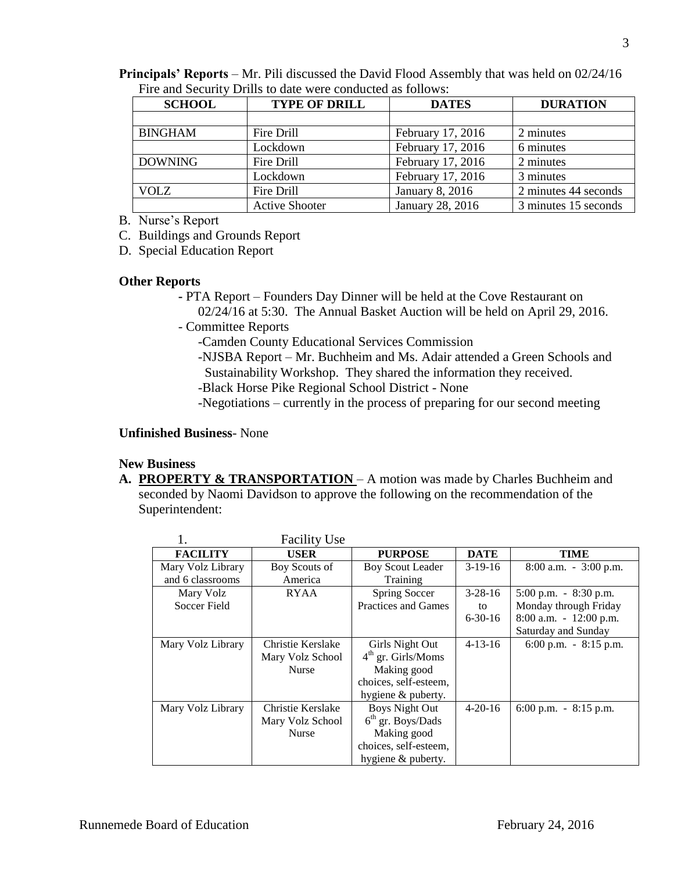| Runnemede Board of Education | February 24, 2016 |
|------------------------------|-------------------|
|                              |                   |

| <b>Principals' Reports</b> – Mr. Pili discussed the David Flood Assembly that was held on 02/24/16 |  |
|----------------------------------------------------------------------------------------------------|--|
| Fire and Security Drills to date were conducted as follows:                                        |  |

| <b>SCHOOL</b>  | <b>TYPE OF DRILL</b>  | <b>DATES</b>      | <b>DURATION</b>      |
|----------------|-----------------------|-------------------|----------------------|
|                |                       |                   |                      |
| <b>BINGHAM</b> | Fire Drill            | February 17, 2016 | 2 minutes            |
|                | Lockdown              | February 17, 2016 | 6 minutes            |
| <b>DOWNING</b> | Fire Drill            | February 17, 2016 | 2 minutes            |
|                | Lockdown              | February 17, 2016 | 3 minutes            |
| <b>VOLZ</b>    | Fire Drill            | January 8, 2016   | 2 minutes 44 seconds |
|                | <b>Active Shooter</b> | January 28, 2016  | 3 minutes 15 seconds |

B. Nurse's Report

C. Buildings and Grounds Report

D. Special Education Report

#### **Other Reports**

- **-** PTA Report Founders Day Dinner will be held at the Cove Restaurant on 02/24/16 at 5:30. The Annual Basket Auction will be held on April 29, 2016.
- Committee Reports
	- -Camden County Educational Services Commission
	- -NJSBA Report Mr. Buchheim and Ms. Adair attended a Green Schools and Sustainability Workshop. They shared the information they received.
	- -Black Horse Pike Regional School District None
	- -Negotiations currently in the process of preparing for our second meeting

# **Unfinished Business**- None

# **New Business**

**A. PROPERTY & TRANSPORTATION** – A motion was made by Charles Buchheim and seconded by Naomi Davidson to approve the following on the recommendation of the Superintendent:

|                   | <b>Facility Use</b> |                            |               |                           |
|-------------------|---------------------|----------------------------|---------------|---------------------------|
| <b>FACILITY</b>   | <b>USER</b>         | <b>PURPOSE</b>             | <b>DATE</b>   | TIME                      |
| Mary Volz Library | Boy Scouts of       | Boy Scout Leader           | $3-19-16$     | $8:00$ a.m. $-3:00$ p.m.  |
| and 6 classrooms  | America             | <b>Training</b>            |               |                           |
| Mary Volz         | <b>RYAA</b>         | Spring Soccer              | $3 - 28 - 16$ | $5:00$ p.m. $-8:30$ p.m.  |
| Soccer Field      |                     | <b>Practices and Games</b> | to            | Monday through Friday     |
|                   |                     |                            | $6 - 30 - 16$ | $8:00$ a.m. $-12:00$ p.m. |
|                   |                     |                            |               | Saturday and Sunday       |
| Mary Volz Library | Christie Kerslake   | Girls Night Out            | $4 - 13 - 16$ | 6:00 p.m. $-8:15$ p.m.    |
|                   | Mary Volz School    | $4th$ gr. Girls/Moms       |               |                           |
|                   | <b>Nurse</b>        | Making good                |               |                           |
|                   |                     | choices, self-esteem,      |               |                           |
|                   |                     | hygiene & puberty.         |               |                           |
| Mary Volz Library | Christie Kerslake   | <b>Boys Night Out</b>      | $4-20-16$     | 6:00 p.m. $-8:15$ p.m.    |
|                   | Mary Volz School    | $6th$ gr. Boys/Dads        |               |                           |
|                   | <b>Nurse</b>        | Making good                |               |                           |
|                   |                     | choices, self-esteem,      |               |                           |
|                   |                     | hygiene & puberty.         |               |                           |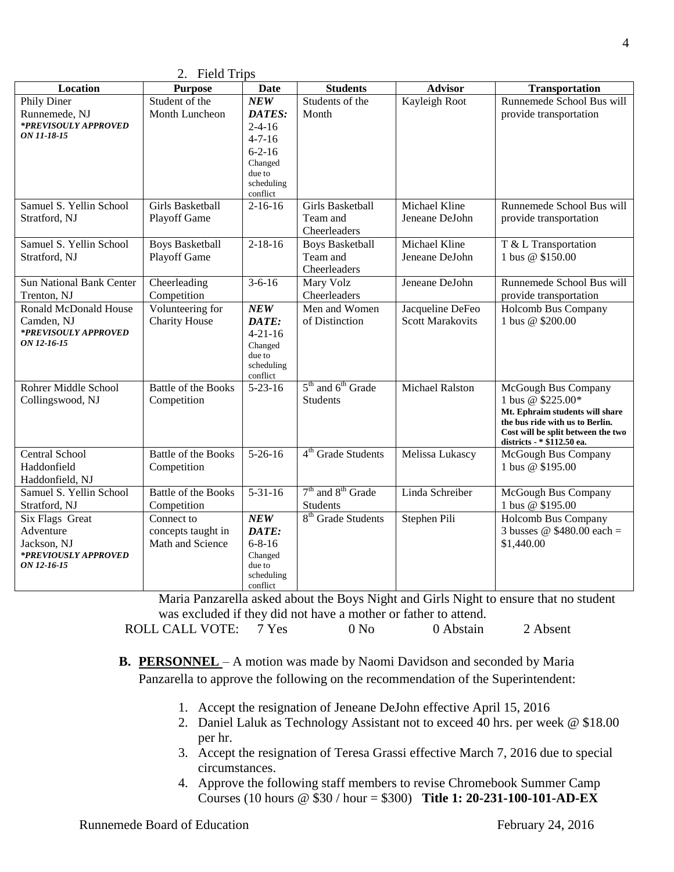| 2. FIEIU IIIDS                      |                            |                         |                                |                         |                                                                    |
|-------------------------------------|----------------------------|-------------------------|--------------------------------|-------------------------|--------------------------------------------------------------------|
| Location                            | <b>Purpose</b>             | <b>Date</b>             | <b>Students</b>                | <b>Advisor</b>          | Transportation                                                     |
| Phily Diner                         | Student of the             | NEW                     | Students of the                | Kayleigh Root           | Runnemede School Bus will                                          |
| Runnemede, NJ                       | Month Luncheon             | DATES:                  | Month                          |                         | provide transportation                                             |
| *PREVISOULY APPROVED                |                            | $2 - 4 - 16$            |                                |                         |                                                                    |
| ON 11-18-15                         |                            | $4 - 7 - 16$            |                                |                         |                                                                    |
|                                     |                            | $6 - 2 - 16$            |                                |                         |                                                                    |
|                                     |                            | Changed<br>due to       |                                |                         |                                                                    |
|                                     |                            | scheduling              |                                |                         |                                                                    |
|                                     |                            | conflict                |                                |                         |                                                                    |
| Samuel S. Yellin School             | <b>Girls Basketball</b>    | $2-16-16$               | <b>Girls Basketball</b>        | Michael Kline           | Runnemede School Bus will                                          |
| Stratford, NJ                       | Playoff Game               |                         | Team and                       | Jeneane DeJohn          | provide transportation                                             |
|                                     |                            |                         | Cheerleaders                   |                         |                                                                    |
| Samuel S. Yellin School             | <b>Boys Basketball</b>     | $2 - 18 - 16$           | <b>Boys Basketball</b>         | Michael Kline           | T & L Transportation                                               |
| Stratford, NJ                       | Playoff Game               |                         | Team and                       | Jeneane DeJohn          | 1 bus @ \$150.00                                                   |
|                                     |                            |                         | Cheerleaders                   |                         |                                                                    |
| <b>Sun National Bank Center</b>     | Cheerleading               | $3 - 6 - 16$            | Mary Volz                      | Jeneane DeJohn          | Runnemede School Bus will                                          |
| Trenton, NJ                         | Competition                |                         | Cheerleaders                   |                         | provide transportation                                             |
| Ronald McDonald House               | Volunteering for           | NEW                     | Men and Women                  | Jacqueline DeFeo        | Holcomb Bus Company                                                |
| Camden, NJ                          | <b>Charity House</b>       | DATE:                   | of Distinction                 | <b>Scott Marakovits</b> | 1 bus @ \$200.00                                                   |
| *PREVISOULY APPROVED<br>ON 12-16-15 |                            | $4 - 21 - 16$           |                                |                         |                                                                    |
|                                     |                            | Changed<br>due to       |                                |                         |                                                                    |
|                                     |                            | scheduling              |                                |                         |                                                                    |
|                                     |                            | conflict                |                                |                         |                                                                    |
| Rohrer Middle School                | <b>Battle of the Books</b> | $5 - 23 - 16$           | $5th$ and $6th$ Grade          | <b>Michael Ralston</b>  | McGough Bus Company                                                |
| Collingswood, NJ                    | Competition                |                         | <b>Students</b>                |                         | 1 bus @ \$225.00*                                                  |
|                                     |                            |                         |                                |                         | Mt. Ephraim students will share<br>the bus ride with us to Berlin. |
|                                     |                            |                         |                                |                         | Cost will be split between the two                                 |
|                                     |                            |                         |                                |                         | districts - * \$112.50 ea.                                         |
| Central School                      | <b>Battle of the Books</b> | $5-26-16$               | 4 <sup>th</sup> Grade Students | Melissa Lukascy         | McGough Bus Company                                                |
| Haddonfield                         | Competition                |                         |                                |                         | 1 bus @ \$195.00                                                   |
| Haddonfield, NJ                     |                            |                         |                                |                         |                                                                    |
| Samuel S. Yellin School             | <b>Battle of the Books</b> | $5 - 31 - 16$           | $7th$ and $8th$ Grade          | Linda Schreiber         | McGough Bus Company                                                |
| Stratford, NJ                       | Competition                |                         | Students                       |                         | 1 bus @ \$195.00                                                   |
| Six Flags Great                     | Connect to                 | NEW                     | 8 <sup>th</sup> Grade Students | Stephen Pili            | <b>Holcomb Bus Company</b>                                         |
| Adventure                           | concepts taught in         | DATE:                   |                                |                         | 3 busses @ $$480.00$ each =                                        |
| Jackson, NJ<br>*PREVIOUSLY APPROVED | Math and Science           | $6 - 8 - 16$<br>Changed |                                |                         | \$1,440.00                                                         |
| ON 12-16-15                         |                            | due to                  |                                |                         |                                                                    |
|                                     |                            | scheduling              |                                |                         |                                                                    |
|                                     |                            | conflict                |                                |                         |                                                                    |

 $2.$  Field Trips

Maria Panzarella asked about the Boys Night and Girls Night to ensure that no student was excluded if they did not have a mother or father to attend. ROLL CALL VOTE: 7 Yes 0 No 0 Abstain 2 Absent

**B. PERSONNEL** – A motion was made by Naomi Davidson and seconded by Maria Panzarella to approve the following on the recommendation of the Superintendent:

- 1. Accept the resignation of Jeneane DeJohn effective April 15, 2016
- 2. Daniel Laluk as Technology Assistant not to exceed 40 hrs. per week @ \$18.00 per hr.
- 3. Accept the resignation of Teresa Grassi effective March 7, 2016 due to special circumstances.
- 4. Approve the following staff members to revise Chromebook Summer Camp Courses (10 hours @ \$30 / hour = \$300) **Title 1: 20-231-100-101-AD-EX**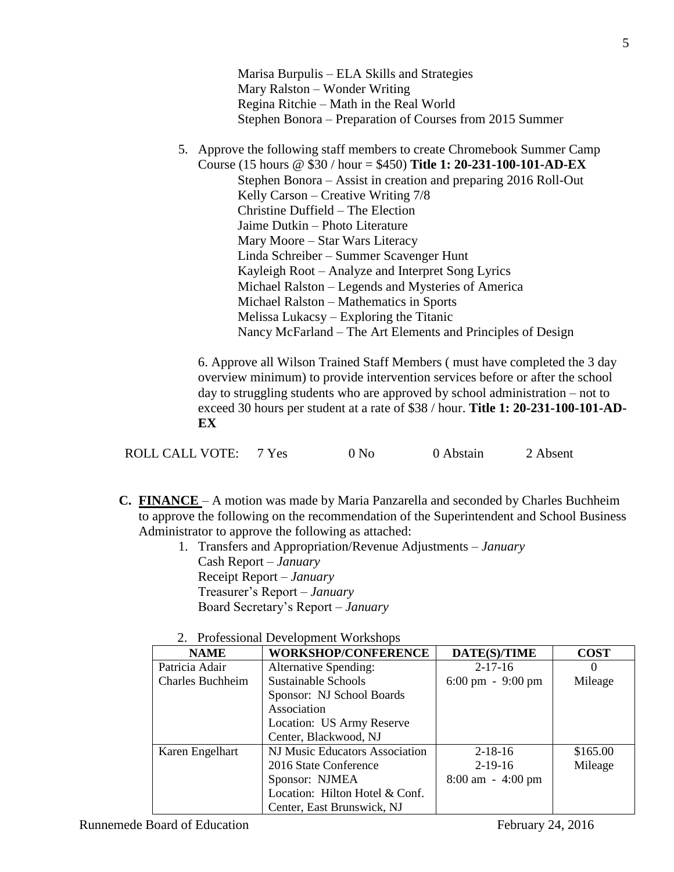Marisa Burpulis – ELA Skills and Strategies Mary Ralston – Wonder Writing Regina Ritchie – Math in the Real World Stephen Bonora – Preparation of Courses from 2015 Summer

5. Approve the following staff members to create Chromebook Summer Camp

Course (15 hours @ \$30 / hour = \$450) **Title 1: 20-231-100-101-AD-EX** Stephen Bonora – Assist in creation and preparing 2016 Roll-Out Kelly Carson – Creative Writing 7/8 Christine Duffield – The Election Jaime Dutkin – Photo Literature Mary Moore – Star Wars Literacy Linda Schreiber – Summer Scavenger Hunt Kayleigh Root – Analyze and Interpret Song Lyrics Michael Ralston – Legends and Mysteries of America Michael Ralston – Mathematics in Sports Melissa Lukacsy – Exploring the Titanic Nancy McFarland – The Art Elements and Principles of Design

6. Approve all Wilson Trained Staff Members ( must have completed the 3 day overview minimum) to provide intervention services before or after the school day to struggling students who are approved by school administration – not to exceed 30 hours per student at a rate of \$38 / hour. **Title 1: 20-231-100-101-AD-EX**

|  | <b>ROLL CALL VOTE:</b> |  | 0 N <sub>0</sub> | 0 Abstain | 2 Absent |
|--|------------------------|--|------------------|-----------|----------|
|--|------------------------|--|------------------|-----------|----------|

- **C. FINANCE**  A motion was made by Maria Panzarella and seconded by Charles Buchheim to approve the following on the recommendation of the Superintendent and School Business Administrator to approve the following as attached:
	- 1. Transfers and Appropriation/Revenue Adjustments *January* Cash Report – *January* Receipt Report – *January* Treasurer's Report – *January* Board Secretary's Report – *January*
	- 2. Professional Development Workshops

| <b>NAME</b>             | <b>WORKSHOP/CONFERENCE</b>     | DATE(S)/TIME                        | <b>COST</b> |
|-------------------------|--------------------------------|-------------------------------------|-------------|
| Patricia Adair          | <b>Alternative Spending:</b>   | $2 - 17 - 16$                       |             |
| <b>Charles Buchheim</b> | <b>Sustainable Schools</b>     | $6:00 \text{ pm} - 9:00 \text{ pm}$ | Mileage     |
|                         | Sponsor: NJ School Boards      |                                     |             |
|                         | Association                    |                                     |             |
|                         | Location: US Army Reserve      |                                     |             |
|                         | Center, Blackwood, NJ          |                                     |             |
| Karen Engelhart         | NJ Music Educators Association | $2 - 18 - 16$                       | \$165.00    |
|                         | 2016 State Conference          | $2-19-16$                           | Mileage     |
|                         | Sponsor: NJMEA                 | $8:00 \text{ am } -4:00 \text{ pm}$ |             |
|                         | Location: Hilton Hotel & Conf. |                                     |             |
|                         | Center, East Brunswick, NJ     |                                     |             |

5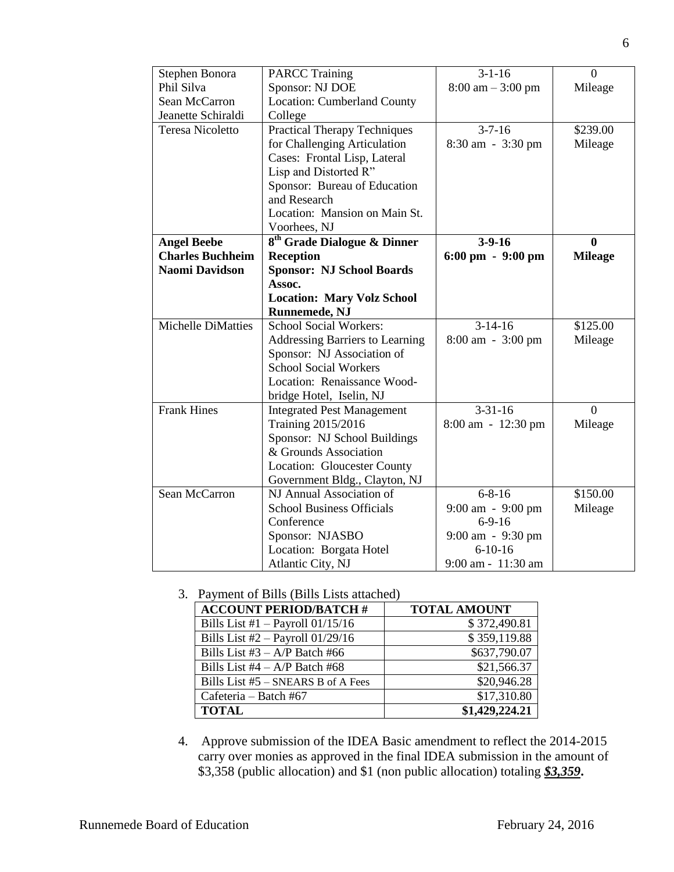| Stephen Bonora            | <b>PARCC Training</b>                   | $3-1-16$                            | $\overline{0}$ |
|---------------------------|-----------------------------------------|-------------------------------------|----------------|
| Phil Silva                | Sponsor: NJ DOE                         | $8:00 \text{ am} - 3:00 \text{ pm}$ | Mileage        |
| Sean McCarron             | <b>Location: Cumberland County</b>      |                                     |                |
| Jeanette Schiraldi        | College                                 |                                     |                |
| <b>Teresa Nicoletto</b>   | <b>Practical Therapy Techniques</b>     | $3 - 7 - 16$                        | \$239.00       |
|                           | for Challenging Articulation            | 8:30 am - 3:30 pm                   | Mileage        |
|                           | Cases: Frontal Lisp, Lateral            |                                     |                |
|                           | Lisp and Distorted R"                   |                                     |                |
|                           | Sponsor: Bureau of Education            |                                     |                |
|                           | and Research                            |                                     |                |
|                           | Location: Mansion on Main St.           |                                     |                |
|                           | Voorhees, NJ                            |                                     |                |
| <b>Angel Beebe</b>        | 8 <sup>th</sup> Grade Dialogue & Dinner | $3-9-16$                            | $\mathbf{0}$   |
| <b>Charles Buchheim</b>   | <b>Reception</b>                        | $6:00 \text{ pm} - 9:00 \text{ pm}$ | <b>Mileage</b> |
| <b>Naomi Davidson</b>     | <b>Sponsor: NJ School Boards</b>        |                                     |                |
|                           | Assoc.                                  |                                     |                |
|                           | <b>Location: Mary Volz School</b>       |                                     |                |
|                           | Runnemede, NJ                           |                                     |                |
| <b>Michelle DiMatties</b> | <b>School Social Workers:</b>           | $3-14-16$                           | \$125.00       |
|                           | <b>Addressing Barriers to Learning</b>  | 8:00 am - 3:00 pm                   | Mileage        |
|                           | Sponsor: NJ Association of              |                                     |                |
|                           | <b>School Social Workers</b>            |                                     |                |
|                           | Location: Renaissance Wood-             |                                     |                |
|                           | bridge Hotel, Iselin, NJ                |                                     |                |
| <b>Frank Hines</b>        | <b>Integrated Pest Management</b>       | $3 - 31 - 16$                       | $\theta$       |
|                           | Training 2015/2016                      | 8:00 am - 12:30 pm                  | Mileage        |
|                           | Sponsor: NJ School Buildings            |                                     |                |
|                           | & Grounds Association                   |                                     |                |
|                           | Location: Gloucester County             |                                     |                |
|                           | Government Bldg., Clayton, NJ           |                                     |                |
| Sean McCarron             | NJ Annual Association of                | $6 - 8 - 16$                        | \$150.00       |
|                           | <b>School Business Officials</b>        | 9:00 am - 9:00 pm<br>$6-9-16$       | Mileage        |
|                           | Conference                              |                                     |                |
|                           | Sponsor: NJASBO                         | 9:00 am - 9:30 pm<br>$6-10-16$      |                |
|                           | Location: Borgata Hotel                 |                                     |                |
|                           | Atlantic City, NJ                       | 9:00 am - 11:30 am                  |                |

3. Payment of Bills (Bills Lists attached)

| <b>ACCOUNT PERIOD/BATCH #</b>      | <b>TOTAL AMOUNT</b> |
|------------------------------------|---------------------|
| Bills List #1 $-$ Payroll 01/15/16 | \$372,490.81        |
| Bills List $#2$ – Payroll 01/29/16 | \$359,119.88        |
| Bills List $#3 - A/P$ Batch $#66$  | \$637,790.07        |
| Bills List #4 $- A/P$ Batch #68    | \$21,566.37         |
| Bills List #5 - SNEARS B of A Fees | \$20,946.28         |
| Cafeteria – Batch #67              | \$17,310.80         |
| <b>TOTAL</b>                       | \$1,429,224.21      |

4. Approve submission of the IDEA Basic amendment to reflect the 2014-2015 carry over monies as approved in the final IDEA submission in the amount of \$3,358 (public allocation) and \$1 (non public allocation) totaling *\$3,359***.**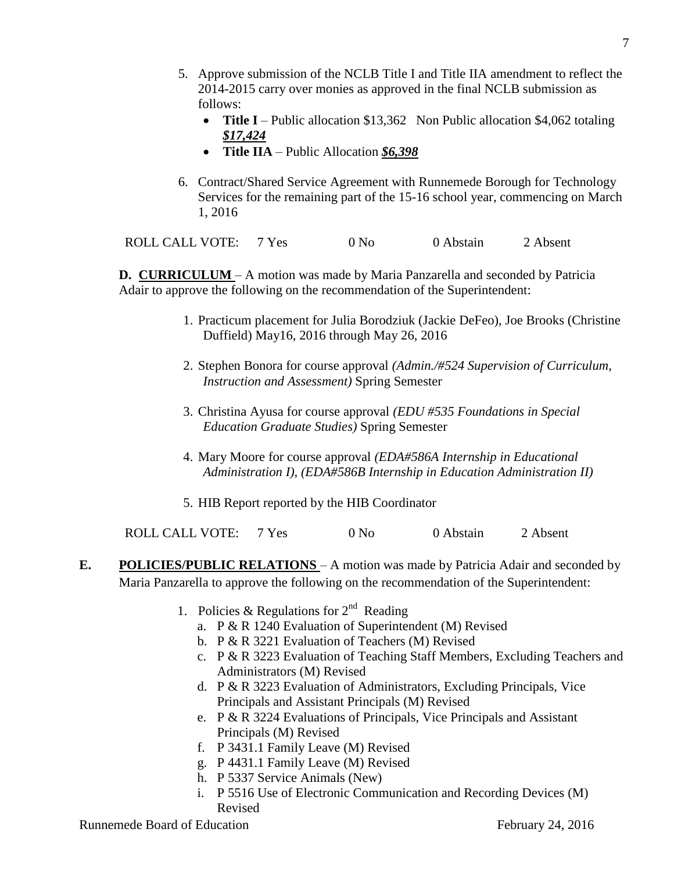- 5. Approve submission of the NCLB Title I and Title IIA amendment to reflect the 2014-2015 carry over monies as approved in the final NCLB submission as follows:
	- **Title I** Public allocation \$13,362 Non Public allocation \$4,062 totaling *\$17,424*
	- **Title IIA**  Public Allocation *\$6,398*
- 6. Contract/Shared Service Agreement with Runnemede Borough for Technology Services for the remaining part of the 15-16 school year, commencing on March 1, 2016

ROLL CALL VOTE: 7 Yes 0 No 0 Abstain 2 Absent

**D. CURRICULUM** – A motion was made by Maria Panzarella and seconded by Patricia Adair to approve the following on the recommendation of the Superintendent:

- 1. Practicum placement for Julia Borodziuk (Jackie DeFeo), Joe Brooks (Christine Duffield) May16, 2016 through May 26, 2016
- 2. Stephen Bonora for course approval *(Admin./#524 Supervision of Curriculum, Instruction and Assessment)* Spring Semester
- 3. Christina Ayusa for course approval *(EDU #535 Foundations in Special Education Graduate Studies)* Spring Semester
- 4. Mary Moore for course approval *(EDA#586A Internship in Educational Administration I), (EDA#586B Internship in Education Administration II)*
- 5. HIB Report reported by the HIB Coordinator

ROLL CALL VOTE: 7 Yes 0 No 0 Abstain 2 Absent

- **E. POLICIES/PUBLIC RELATIONS** A motion was made by Patricia Adair and seconded by Maria Panzarella to approve the following on the recommendation of the Superintendent:
	- 1. Policies & Regulations for  $2<sup>nd</sup>$  Reading
		- a. P & R 1240 Evaluation of Superintendent (M) Revised
		- b. P & R 3221 Evaluation of Teachers (M) Revised
		- c. P & R 3223 Evaluation of Teaching Staff Members, Excluding Teachers and Administrators (M) Revised
		- d. P & R 3223 Evaluation of Administrators, Excluding Principals, Vice Principals and Assistant Principals (M) Revised
		- e. P & R 3224 Evaluations of Principals, Vice Principals and Assistant Principals (M) Revised
		- f. P 3431.1 Family Leave (M) Revised
		- g. P 4431.1 Family Leave (M) Revised
		- h. P 5337 Service Animals (New)
		- i. P 5516 Use of Electronic Communication and Recording Devices (M) Revised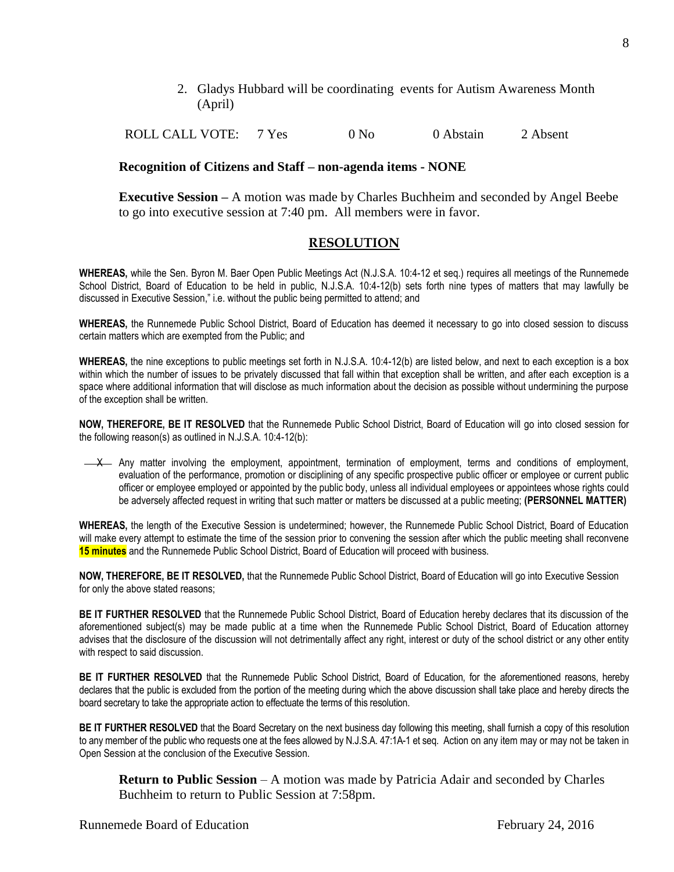2. Gladys Hubbard will be coordinating events for Autism Awareness Month (April)

ROLL CALL VOTE: 7 Yes 0 No 0 Abstain 2 Absent

#### **Recognition of Citizens and Staff – non-agenda items - NONE**

**Executive Session –** A motion was made by Charles Buchheim and seconded by Angel Beebe to go into executive session at 7:40 pm. All members were in favor.

# **RESOLUTION**

**WHEREAS,** while the Sen. Byron M. Baer Open Public Meetings Act (N.J.S.A. 10:4-12 et seq.) requires all meetings of the Runnemede School District, Board of Education to be held in public, N.J.S.A. 10:4-12(b) sets forth nine types of matters that may lawfully be discussed in Executive Session," i.e. without the public being permitted to attend; and

**WHEREAS,** the Runnemede Public School District, Board of Education has deemed it necessary to go into closed session to discuss certain matters which are exempted from the Public; and

**WHEREAS,** the nine exceptions to public meetings set forth in N.J.S.A. 10:4-12(b) are listed below, and next to each exception is a box within which the number of issues to be privately discussed that fall within that exception shall be written, and after each exception is a space where additional information that will disclose as much information about the decision as possible without undermining the purpose of the exception shall be written.

**NOW, THEREFORE, BE IT RESOLVED** that the Runnemede Public School District, Board of Education will go into closed session for the following reason(s) as outlined in N.J.S.A. 10:4-12(b):

X Any matter involving the employment, appointment, termination of employment, terms and conditions of employment, evaluation of the performance, promotion or disciplining of any specific prospective public officer or employee or current public officer or employee employed or appointed by the public body, unless all individual employees or appointees whose rights could be adversely affected request in writing that such matter or matters be discussed at a public meeting; **(PERSONNEL MATTER)**

**WHEREAS,** the length of the Executive Session is undetermined; however, the Runnemede Public School District, Board of Education will make every attempt to estimate the time of the session prior to convening the session after which the public meeting shall reconvene **15 minutes** and the Runnemede Public School District, Board of Education will proceed with business.

**NOW, THEREFORE, BE IT RESOLVED,** that the Runnemede Public School District, Board of Education will go into Executive Session for only the above stated reasons;

**BE IT FURTHER RESOLVED** that the Runnemede Public School District, Board of Education hereby declares that its discussion of the aforementioned subject(s) may be made public at a time when the Runnemede Public School District, Board of Education attorney advises that the disclosure of the discussion will not detrimentally affect any right, interest or duty of the school district or any other entity with respect to said discussion.

**BE IT FURTHER RESOLVED** that the Runnemede Public School District, Board of Education, for the aforementioned reasons, hereby declares that the public is excluded from the portion of the meeting during which the above discussion shall take place and hereby directs the board secretary to take the appropriate action to effectuate the terms of this resolution.

**BE IT FURTHER RESOLVED** that the Board Secretary on the next business day following this meeting, shall furnish a copy of this resolution to any member of the public who requests one at the fees allowed by N.J.S.A. 47:1A-1 et seq. Action on any item may or may not be taken in Open Session at the conclusion of the Executive Session.

**Return to Public Session** – A motion was made by Patricia Adair and seconded by Charles Buchheim to return to Public Session at 7:58pm.